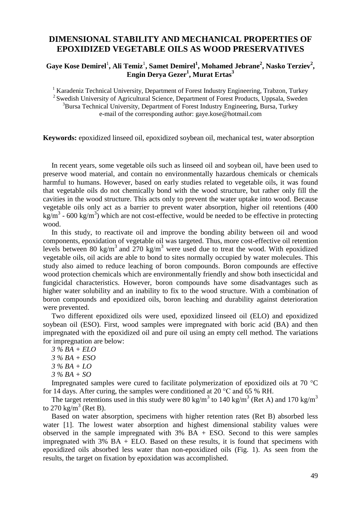## **DIMENSIONAL STABILITY AND MECHANICAL PROPERTIES OF EPOXIDIZED VEGETABLE OILS AS WOOD PRESERVATIVES**

 $G$ aye Kose Demirel<sup>1</sup>, Ali Temiz<sup>1</sup>, Samet Demirel<sup>1</sup>, Mohamed Jebrane<sup>2</sup>, Nasko Terziev<sup>2</sup>, **Engin Derya Gezer<sup>1</sup> , Murat Ertas<sup>3</sup>**

<sup>1</sup> Karadeniz Technical University, Department of Forest Industry Engineering, Trabzon, Turkey <sup>2</sup> Swedish University of Agricultural Science, Department of Forest Products, Uppsala, Sweden <sup>3</sup>Bursa Technical University, Department of Forest Industry Engineering, Bursa, Turkey e-mail of the corresponding author: gaye.kose@hotmail.com

**Keywords:** epoxidized linseed oil, epoxidized soybean oil, mechanical test, water absorption

In recent years, some vegetable oils such as linseed oil and soybean oil, have been used to preserve wood material, and contain no environmentally hazardous chemicals or chemicals harmful to humans. However, based on early studies related to vegetable oils, it was found that vegetable oils do not chemically bond with the wood structure, but rather only fill the cavities in the wood structure. This acts only to prevent the water uptake into wood. Because vegetable oils only act as a barrier to prevent water absorption, higher oil retentions (400 kg/m<sup>3</sup> - 600 kg/m<sup>3</sup>) which are not cost-effective, would be needed to be effective in protecting wood.

In this study, to reactivate oil and improve the bonding ability between oil and wood components, epoxidation of vegetable oil was targeted. Thus, more cost-effective oil retention levels between 80 kg/m<sup>3</sup> and 270 kg/m<sup>3</sup> were used due to treat the wood. With epoxidized vegetable oils, oil acids are able to bond to sites normally occupied by water molecules. This study also aimed to reduce leaching of boron compounds. Boron compounds are effective wood protection chemicals which are environmentally friendly and show both insecticidal and fungicidal characteristics. However, boron compounds have some disadvantages such as higher water solubility and an inability to fix to the wood structure. With a combination of boron compounds and epoxidized oils, boron leaching and durability against deterioration were prevented.

Two different epoxidized oils were used, epoxidized linseed oil (ELO) and epoxidized soybean oil (ESO). First, wood samples were impregnated with boric acid (BA) and then impregnated with the epoxidized oil and pure oil using an empty cell method. The variations for impregnation are below:

 *% BA + ELO % BA + ESO % BA + LO % BA + SO*

Impregnated samples were cured to facilitate polymerization of epoxidized oils at 70 °C for 14 days. After curing, the samples were conditioned at 20  $^{\circ}$ C and 65 % RH.

The target retentions used in this study were 80 kg/m<sup>3</sup> to 140 kg/m<sup>3</sup> (Ret A) and 170 kg/m<sup>3</sup> to 270  $\text{kg/m}^3$  (Ret B).

Based on water absorption, specimens with higher retention rates (Ret B) absorbed less water [1]. The lowest water absorption and highest dimensional stability values were observed in the sample impregnated with  $3\%$  BA + ESO. Second to this were samples impregnated with 3% BA + ELO. Based on these results, it is found that specimens with epoxidized oils absorbed less water than non-epoxidized oils (Fig. 1). As seen from the results, the target on fixation by epoxidation was accomplished.